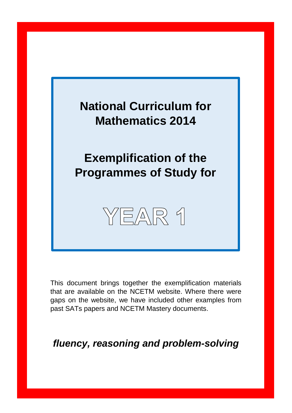

This document brings together the exemplification materials that are available on the NCETM website. Where there were gaps on the website, we have included other examples from past SATs papers and NCETM Mastery documents.

*fluency, reasoning and problem-solving*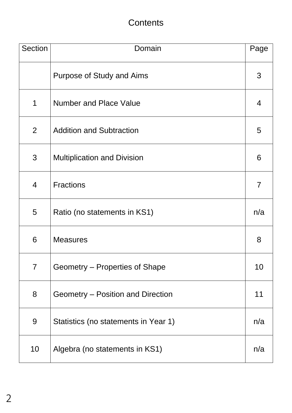## **Contents**

| <b>Section</b> | Domain                               | Page           |
|----------------|--------------------------------------|----------------|
|                | Purpose of Study and Aims            | 3              |
| 1              | <b>Number and Place Value</b>        | $\overline{4}$ |
| $\overline{2}$ | <b>Addition and Subtraction</b>      | 5              |
| 3              | <b>Multiplication and Division</b>   | 6              |
| $\overline{4}$ | <b>Fractions</b>                     | $\overline{7}$ |
| 5              | Ratio (no statements in KS1)         | n/a            |
| 6              | <b>Measures</b>                      | 8              |
| $\overline{7}$ | Geometry – Properties of Shape       | 10             |
| 8              | Geometry – Position and Direction    | 11             |
| 9              | Statistics (no statements in Year 1) | n/a            |
| 10             | Algebra (no statements in KS1)       | n/a            |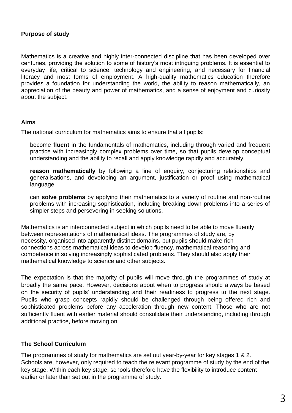### **Purpose of study**

Mathematics is a creative and highly inter-connected discipline that has been developed over centuries, providing the solution to some of history's most intriguing problems. It is essential to everyday life, critical to science, technology and engineering, and necessary for financial literacy and most forms of employment. A high-quality mathematics education therefore provides a foundation for understanding the world, the ability to reason mathematically, an appreciation of the beauty and power of mathematics, and a sense of enjoyment and curiosity about the subject.

#### **Aims**

The national curriculum for mathematics aims to ensure that all pupils:

become **fluent** in the fundamentals of mathematics, including through varied and frequent practice with increasingly complex problems over time, so that pupils develop conceptual understanding and the ability to recall and apply knowledge rapidly and accurately.

**reason mathematically** by following a line of enquiry, conjecturing relationships and generalisations, and developing an argument, justification or proof using mathematical language

can **solve problems** by applying their mathematics to a variety of routine and non-routine problems with increasing sophistication, including breaking down problems into a series of simpler steps and persevering in seeking solutions.

Mathematics is an interconnected subject in which pupils need to be able to move fluently between representations of mathematical ideas. The programmes of study are, by necessity, organised into apparently distinct domains, but pupils should make rich connections across mathematical ideas to develop fluency, mathematical reasoning and competence in solving increasingly sophisticated problems. They should also apply their mathematical knowledge to science and other subjects.

The expectation is that the majority of pupils will move through the programmes of study at broadly the same pace. However, decisions about when to progress should always be based on the security of pupils' understanding and their readiness to progress to the next stage. Pupils who grasp concepts rapidly should be challenged through being offered rich and sophisticated problems before any acceleration through new content. Those who are not sufficiently fluent with earlier material should consolidate their understanding, including through additional practice, before moving on.

### **The School Curriculum**

The programmes of study for mathematics are set out year-by-year for key stages 1 & 2. Schools are, however, only required to teach the relevant programme of study by the end of the key stage. Within each key stage, schools therefore have the flexibility to introduce content earlier or later than set out in the programme of study.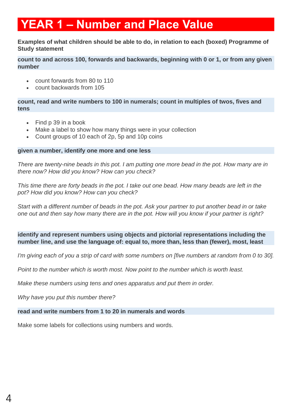# **YEAR 1 – Number and Place Value**

**Examples of what children should be able to do, in relation to each (boxed) Programme of Study statement**

**count to and across 100, forwards and backwards, beginning with 0 or 1, or from any given number**

- count forwards from 80 to 110
- count backwards from 105

**count, read and write numbers to 100 in numerals; count in multiples of twos, fives and tens**

- Find p 39 in a book
- Make a label to show how many things were in your collection
- Count groups of 10 each of 2p, 5p and 10p coins

#### **given a number, identify one more and one less**

*There are twenty-nine beads in this pot. I am putting one more bead in the pot. How many are in there now? How did you know? How can you check?*

*This time there are forty beads in the pot. I take out one bead. How many beads are left in the pot? How did you know? How can you check?*

*Start with a different number of beads in the pot. Ask your partner to put another bead in or take one out and then say how many there are in the pot. How will you know if your partner is right?*

**identify and represent numbers using objects and pictorial representations including the number line, and use the language of: equal to, more than, less than (fewer), most, least**

*I'm giving each of you a strip of card with some numbers on [five numbers at random from 0 to 30].*

*Point to the number which is worth most. Now point to the number which is worth least.*

*Make these numbers using tens and ones apparatus and put them in order.*

*Why have you put this number there?*

### **read and write numbers from 1 to 20 in numerals and words**

Make some labels for collections using numbers and words.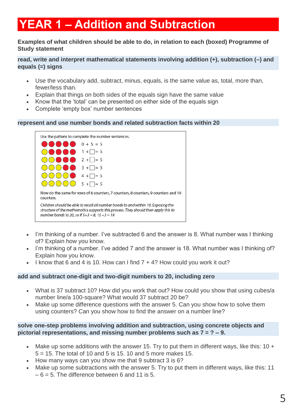# **YEAR 1 – Addition and Subtraction**

### **Examples of what children should be able to do, in relation to each (boxed) Programme of Study statement**

### **read, write and interpret mathematical statements involving addition (+), subtraction (–) and equals (=) signs**

- Use the vocabulary add, subtract, minus, equals, is the same value as, total, more than, fewer/less than.
- Explain that things on both sides of the equals sign have the same value
- Know that the 'total' can be presented on either side of the equals sign
- Complete 'empty box' number sentences

#### **represent and use number bonds and related subtraction facts within 20**



- I'm thinking of a number. I've subtracted 6 and the answer is 8. What number was I thinking of? Explain how you know.
- I'm thinking of a number. I've added 7 and the answer is 18. What number was I thinking of? Explain how you know.
- I know that 6 and 4 is 10. How can I find 7 + 4? How could you work it out?

#### **add and subtract one-digit and two-digit numbers to 20, including zero**

- What is 37 subtract 10? How did you work that out? How could you show that using cubes/a number line/a 100-square? What would 37 subtract 20 be?
- Make up some difference questions with the answer 5. Can you show how to solve them using counters? Can you show how to find the answer on a number line?

#### **solve one-step problems involving addition and subtraction, using concrete objects and pictorial representations, and missing number problems such as 7 = ? – 9.**

- Make up some additions with the answer 15. Try to put them in different ways, like this: 10 +  $5 = 15$ . The total of 10 and 5 is 15, 10 and 5 more makes 15.
- How many ways can you show me that 9 subtract 3 is 6?
- Make up some subtractions with the answer 5. Try to put them in different ways, like this: 11  $-6 = 5$ . The difference between 6 and 11 is 5.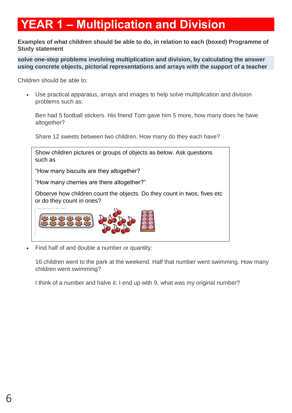# **YEAR 1 – Multiplication and Division**

**Examples of what children should be able to do, in relation to each (boxed) Programme of Study statement**

**solve one-step problems involving multiplication and division, by calculating the answer using concrete objects, pictorial representations and arrays with the support of a teacher**

Children should be able to:

 Use practical apparatus, arrays and images to help solve multiplication and division problems such as:

Ben had 5 football stickers. His friend Tom gave him 5 more, how many does he have altogether?

Share 12 sweets between two children. How many do they each have?



Find half of and double a number or quantity:

16 children went to the park at the weekend. Half that number went swimming. How many children went swimming?

I think of a number and halve it. I end up with 9, what was my original number?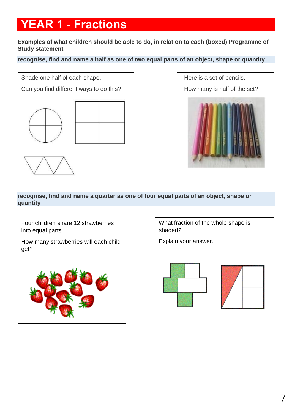# **YEAR 1 - Fractions**

**Examples of what children should be able to do, in relation to each (boxed) Programme of Study statement**

### **recognise, find and name a half as one of two equal parts of an object, shape or quantity**



 Here is a set of pencils. How many is half of the set?

**recognise, find and name a quarter as one of four equal parts of an object, shape or quantity**



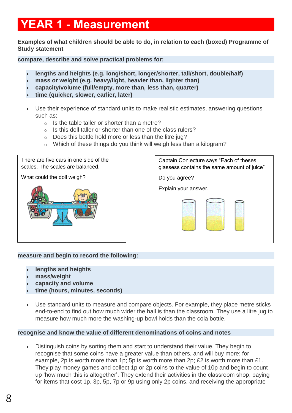# **YEAR 1 - Measurement**

**Examples of what children should be able to do, in relation to each (boxed) Programme of Study statement**

**compare, describe and solve practical problems for:** 

- **lengths and heights (e.g. long/short, longer/shorter, tall/short, double/half)**
- **mass or weight (e.g. heavy/light, heavier than, lighter than)**
- **capacity/volume (full/empty, more than, less than, quarter)**
- **time (quicker, slower, earlier, later)**
- Use their experience of standard units to make realistic estimates, answering questions such as:
	- $\circ$  Is the table taller or shorter than a metre?
	- $\circ$  Is this doll taller or shorter than one of the class rulers?
	- o Does this bottle hold more or less than the litre jug?
	- o Which of these things do you think will weigh less than a kilogram?

There are five cars in one side of the scales. The scales are balanced.

What could the doll weigh?



Captain Conjecture says "Each of theses glassess contains the same amount of juice"

Do you agree?

Explain your answer.



### **measure and begin to record the following:**

- **lengths and heights**
- **mass/weight**
- **capacity and volume**
- **time (hours, minutes, seconds)**
- Use standard units to measure and compare objects. For example, they place metre sticks end-to-end to find out how much wider the hall is than the classroom. They use a litre jug to measure how much more the washing-up bowl holds than the cola bottle.

### **recognise and know the value of different denominations of coins and notes**

 Distinguish coins by sorting them and start to understand their value. They begin to recognise that some coins have a greater value than others, and will buy more: for example, 2p is worth more than 1p; 5p is worth more than 2p; £2 is worth more than £1. They play money games and collect 1p or 2p coins to the value of 10p and begin to count up 'how much this is altogether'. They extend their activities in the classroom shop, paying for items that cost 1p, 3p, 5p, 7p or 9p using only 2p coins, and receiving the appropriate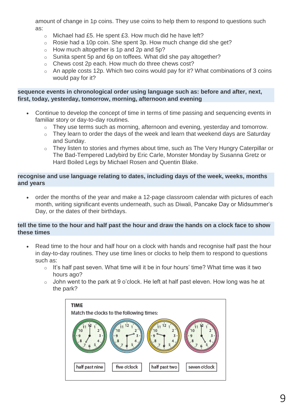amount of change in 1p coins. They use coins to help them to respond to questions such as:

- o Michael had £5. He spent £3. How much did he have left?
- o Rosie had a 10p coin. She spent 3p. How much change did she get?
- o How much altogether is 1p and 2p and 5p?
- o Sunita spent 5p and 6p on toffees. What did she pay altogether?
- o Chews cost 2p each. How much do three chews cost?
- o An apple costs 12p. Which two coins would pay for it? What combinations of 3 coins would pay for it?

### **sequence events in chronological order using language such as: before and after, next, first, today, yesterday, tomorrow, morning, afternoon and evening**

- Continue to develop the concept of time in terms of time passing and sequencing events in familiar story or day-to-day routines.
	- o They use terms such as morning, afternoon and evening, yesterday and tomorrow.
	- $\circ$  They learn to order the days of the week and learn that weekend days are Saturday and Sunday.
	- o They listen to stories and rhymes about time, such as The Very Hungry Caterpillar or The Bad-Tempered Ladybird by Eric Carle, Monster Monday by Susanna Gretz or Hard Boiled Legs by Michael Rosen and Quentin Blake.

### **recognise and use language relating to dates, including days of the week, weeks, months and years**

 order the months of the year and make a 12-page classroom calendar with pictures of each month, writing significant events underneath, such as Diwali, Pancake Day or Midsummer's Day, or the dates of their birthdays.

### **tell the time to the hour and half past the hour and draw the hands on a clock face to show these times**

- Read time to the hour and half hour on a clock with hands and recognise half past the hour in day-to-day routines. They use time lines or clocks to help them to respond to questions such as:
	- o It's half past seven. What time will it be in four hours' time? What time was it two hours ago?
	- $\circ$  John went to the park at 9 o'clock. He left at half past eleven. How long was he at the park?

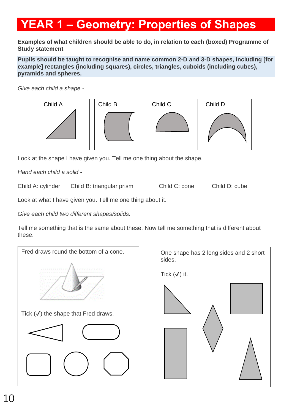# **YEAR 1 – Geometry: Properties of Shapes**

**Examples of what children should be able to do, in relation to each (boxed) Programme of Study statement**

**Pupils should be taught to recognise and name common 2-D and 3-D shapes, including [for example] rectangles (including squares), circles, triangles, cuboids (including cubes), pyramids and spheres.**



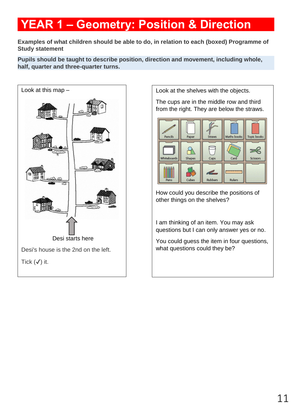# **YEAR 1 – Geometry: Position & Direction**

**Examples of what children should be able to do, in relation to each (boxed) Programme of Study statement**

**Pupils should be taught to describe position, direction and movement, including whole, half, quarter and three-quarter turns.**



Look at the shelves with the objects.

The cups are in the middle row and third from the right. They are below the straws.



How could you describe the positions of other things on the shelves?

I am thinking of an item. You may ask questions but I can only answer yes or no.

You could guess the item in four questions, what questions could they be?